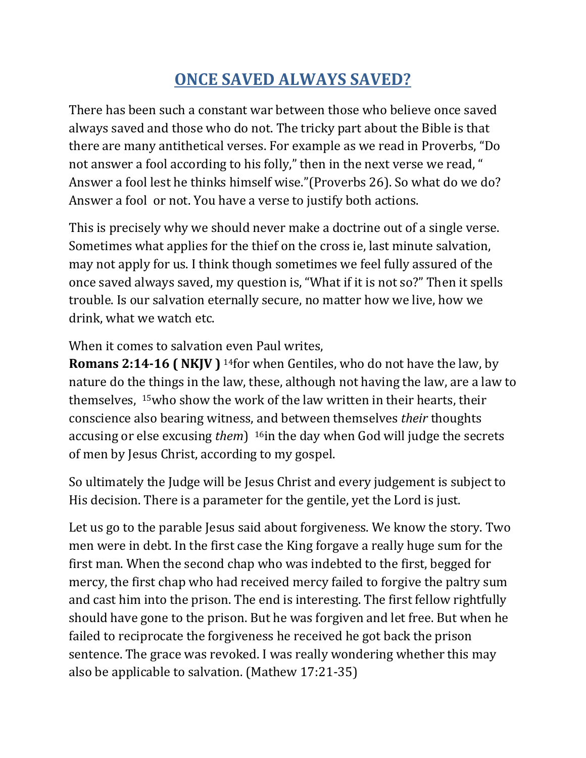## **ONCE SAVED ALWAYS SAVED?**

There has been such a constant war between those who believe once saved always saved and those who do not. The tricky part about the Bible is that there are many antithetical verses. For example as we read in Proverbs, "Do not answer a fool according to his folly," then in the next verse we read, " Answer a fool lest he thinks himself wise."(Proverbs 26). So what do we do? Answer a fool or not. You have a verse to justify both actions.

This is precisely why we should never make a doctrine out of a single verse. Sometimes what applies for the thief on the cross ie, last minute salvation, may not apply for us. I think though sometimes we feel fully assured of the once saved always saved, my question is, "What if it is not so?" Then it spells trouble. Is our salvation eternally secure, no matter how we live, how we drink, what we watch etc.

When it comes to salvation even Paul writes,

**Romans 2:14-16 ( NKJV )** <sup>14</sup>for when Gentiles, who do not have the law, by nature do the things in the law, these, although not having the law, are a law to themselves, <sup>15</sup>who show the work of the law written in their hearts, their conscience also bearing witness, and between themselves *their* thoughts accusing or else excusing *them*) <sup>16</sup>in the day when God will judge the secrets of men by Jesus Christ, according to my gospel.

So ultimately the Judge will be Jesus Christ and every judgement is subject to His decision. There is a parameter for the gentile, yet the Lord is just.

Let us go to the parable Jesus said about forgiveness. We know the story. Two men were in debt. In the first case the King forgave a really huge sum for the first man. When the second chap who was indebted to the first, begged for mercy, the first chap who had received mercy failed to forgive the paltry sum and cast him into the prison. The end is interesting. The first fellow rightfully should have gone to the prison. But he was forgiven and let free. But when he failed to reciprocate the forgiveness he received he got back the prison sentence. The grace was revoked. I was really wondering whether this may also be applicable to salvation. (Mathew 17:21-35)